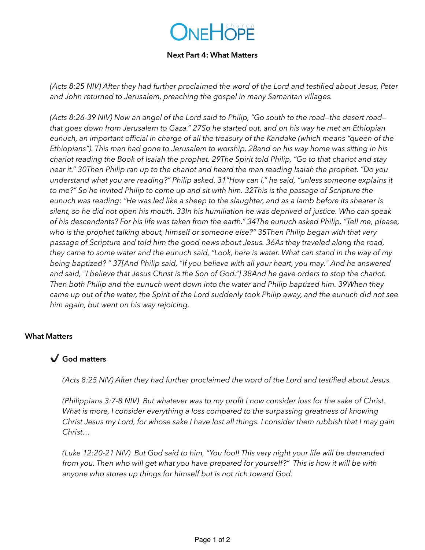# ONEHOPE

#### **Next Part 4: What Matters**

*(Acts 8:25 NIV) After they had further proclaimed the word of the Lord and testified about Jesus, Peter and John returned to Jerusalem, preaching the gospel in many Samaritan villages.*

*(Acts 8:26-39 NIV) Now an angel of the Lord said to Philip, "Go south to the road—the desert road that goes down from Jerusalem to Gaza." 27So he started out, and on his way he met an Ethiopian eunuch, an important official in charge of all the treasury of the Kandake (which means "queen of the Ethiopians"). This man had gone to Jerusalem to worship, 28and on his way home was sitting in his chariot reading the Book of Isaiah the prophet. 29The Spirit told Philip, "Go to that chariot and stay near it." 30Then Philip ran up to the chariot and heard the man reading Isaiah the prophet. "Do you understand what you are reading?" Philip asked. 31"How can I," he said, "unless someone explains it to me?" So he invited Philip to come up and sit with him. 32This is the passage of Scripture the eunuch was reading: "He was led like a sheep to the slaughter, and as a lamb before its shearer is silent, so he did not open his mouth. 33In his humiliation he was deprived of justice. Who can speak of his descendants? For his life was taken from the earth." 34The eunuch asked Philip, "Tell me, please, who is the prophet talking about, himself or someone else?" 35Then Philip began with that very passage of Scripture and told him the good news about Jesus. 36As they traveled along the road, they came to some water and the eunuch said, "Look, here is water. What can stand in the way of my being baptized? " 37[And Philip said, "If you believe with all your heart, you may." And he answered and said, "I believe that Jesus Christ is the Son of God."] 38And he gave orders to stop the chariot. Then both Philip and the eunuch went down into the water and Philip baptized him. 39When they came up out of the water, the Spirit of the Lord suddenly took Philip away, and the eunuch did not see him again, but went on his way rejoicing.*

#### **What Matters**

## ✔ **God matters**

*(Acts 8:25 NIV) After they had further proclaimed the word of the Lord and testified about Jesus.* 

*(Philippians 3:7-8 NIV) But whatever was to my profit I now consider loss for the sake of Christ. What is more, I consider everything a loss compared to the surpassing greatness of knowing Christ Jesus my Lord, for whose sake I have lost all things. I consider them rubbish that I may gain Christ…* 

*(Luke 12:20-21 NIV) But God said to him, "You fool! This very night your life will be demanded from you. Then who will get what you have prepared for yourself?" This is how it will be with anyone who stores up things for himself but is not rich toward God.*